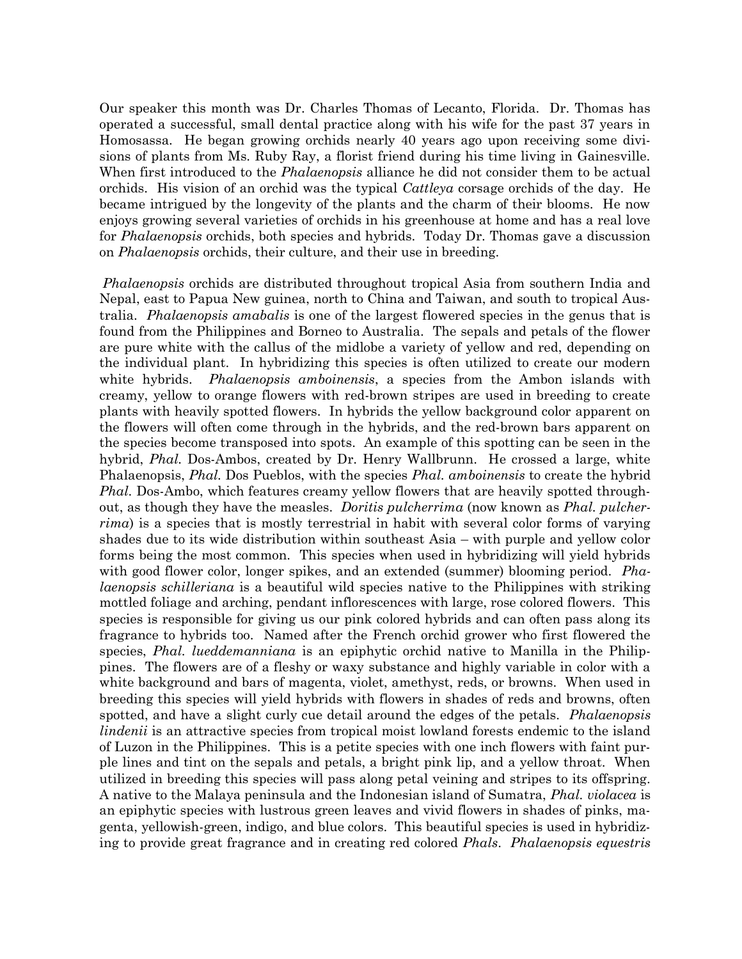Our speaker this month was Dr. Charles Thomas of Lecanto, Florida. Dr. Thomas has operated a successful, small dental practice along with his wife for the past 37 years in Homosassa. He began growing orchids nearly 40 years ago upon receiving some divisions of plants from Ms. Ruby Ray, a florist friend during his time living in Gainesville. When first introduced to the *Phalaenopsis* alliance he did not consider them to be actual orchids. His vision of an orchid was the typical *Cattleya* corsage orchids of the day. He became intrigued by the longevity of the plants and the charm of their blooms. He now enjoys growing several varieties of orchids in his greenhouse at home and has a real love for *Phalaenopsis* orchids, both species and hybrids. Today Dr. Thomas gave a discussion on Phalaenopsis orchids, their culture, and their use in breeding.

Phalaenopsis orchids are distributed throughout tropical Asia from southern India and Nepal, east to Papua New guinea, north to China and Taiwan, and south to tropical Australia. Phalaenopsis amabalis is one of the largest flowered species in the genus that is found from the Philippines and Borneo to Australia. The sepals and petals of the flower are pure white with the callus of the midlobe a variety of yellow and red, depending on the individual plant. In hybridizing this species is often utilized to create our modern white hybrids. *Phalaenopsis amboinensis*, a species from the Ambon islands with creamy, yellow to orange flowers with red-brown stripes are used in breeding to create plants with heavily spotted flowers. In hybrids the yellow background color apparent on the flowers will often come through in the hybrids, and the red-brown bars apparent on the species become transposed into spots. An example of this spotting can be seen in the hybrid, *Phal.* Dos-Ambos, created by Dr. Henry Wallbrunn. He crossed a large, white Phalaenopsis, *Phal.* Dos Pueblos, with the species *Phal. amboinensis* to create the hybrid Phal. Dos-Ambo, which features creamy yellow flowers that are heavily spotted throughout, as though they have the measles. Doritis pulcherrima (now known as *Phal. pulcher*rima) is a species that is mostly terrestrial in habit with several color forms of varying shades due to its wide distribution within southeast Asia – with purple and yellow color forms being the most common. This species when used in hybridizing will yield hybrids with good flower color, longer spikes, and an extended (summer) blooming period. *Pha*laenopsis schilleriana is a beautiful wild species native to the Philippines with striking mottled foliage and arching, pendant inflorescences with large, rose colored flowers. This species is responsible for giving us our pink colored hybrids and can often pass along its fragrance to hybrids too. Named after the French orchid grower who first flowered the species, *Phal. lueddemanniana* is an epiphytic orchid native to Manilla in the Philippines. The flowers are of a fleshy or waxy substance and highly variable in color with a white background and bars of magenta, violet, amethyst, reds, or browns. When used in breeding this species will yield hybrids with flowers in shades of reds and browns, often spotted, and have a slight curly cue detail around the edges of the petals. *Phalaenopsis* lindenii is an attractive species from tropical moist lowland forests endemic to the island of Luzon in the Philippines. This is a petite species with one inch flowers with faint purple lines and tint on the sepals and petals, a bright pink lip, and a yellow throat. When utilized in breeding this species will pass along petal veining and stripes to its offspring. A native to the Malaya peninsula and the Indonesian island of Sumatra, Phal. violacea is an epiphytic species with lustrous green leaves and vivid flowers in shades of pinks, magenta, yellowish-green, indigo, and blue colors. This beautiful species is used in hybridizing to provide great fragrance and in creating red colored Phals. Phalaenopsis equestris